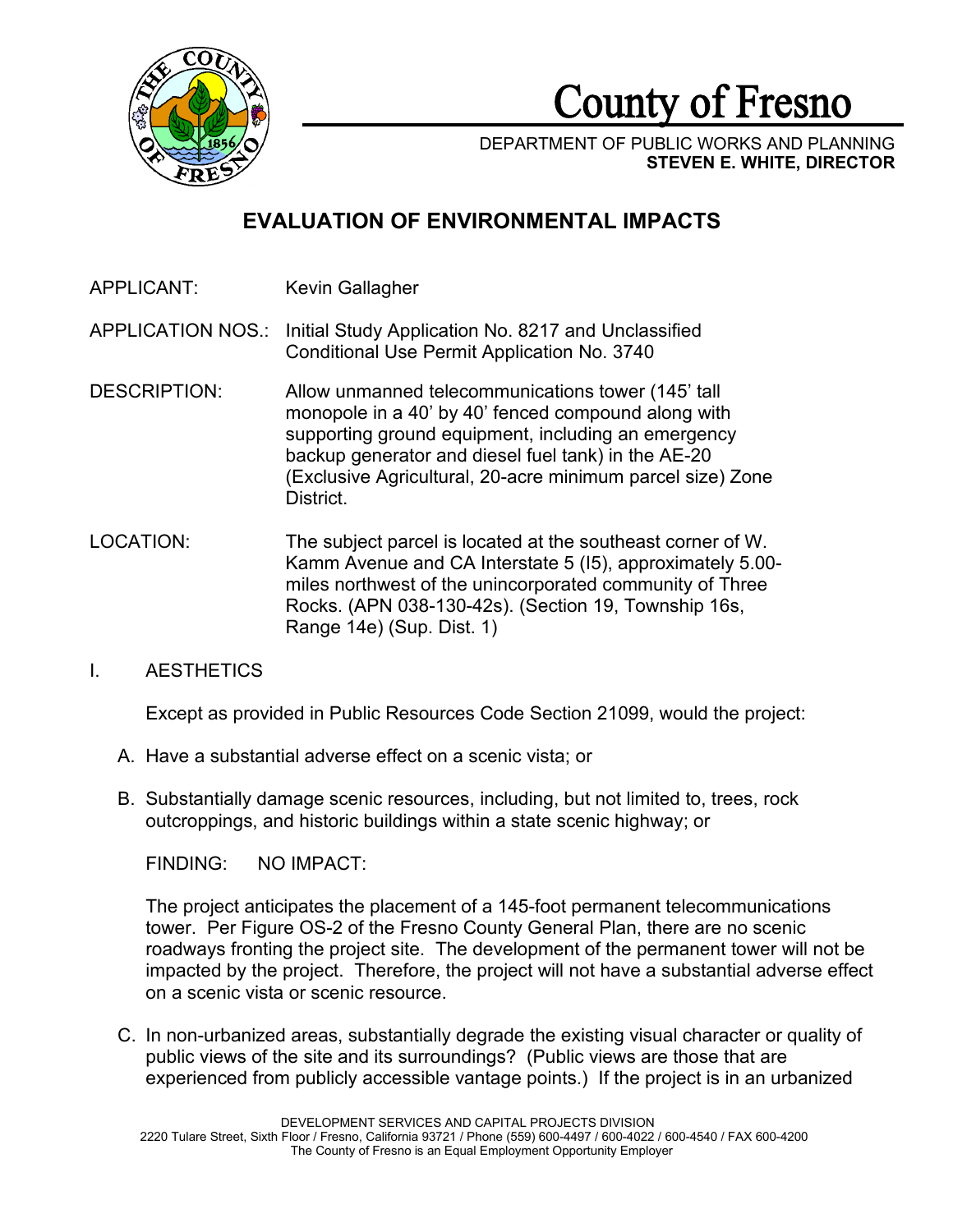

County of Fresno

DEPARTMENT OF PUBLIC WORKS AND PLANNING **STEVEN E. WHITE, DIRECTOR**

# **EVALUATION OF ENVIRONMENTAL IMPACTS**

APPLICANT: Kevin Gallagher

APPLICATION NOS.: Initial Study Application No. 8217 and Unclassified Conditional Use Permit Application No. 3740

- DESCRIPTION: Allow unmanned telecommunications tower (145' tall monopole in a 40' by 40' fenced compound along with supporting ground equipment, including an emergency backup generator and diesel fuel tank) in the AE-20 (Exclusive Agricultural, 20-acre minimum parcel size) Zone District.
- LOCATION: The subject parcel is located at the southeast corner of W. Kamm Avenue and CA Interstate 5 (I5), approximately 5.00 miles northwest of the unincorporated community of Three Rocks. (APN 038-130-42s). (Section 19, Township 16s, Range 14e) (Sup. Dist. 1)

# I. AESTHETICS

Except as provided in Public Resources Code Section 21099, would the project:

- A. Have a substantial adverse effect on a scenic vista; or
- B. Substantially damage scenic resources, including, but not limited to, trees, rock outcroppings, and historic buildings within a state scenic highway; or

FINDING: NO IMPACT:

The project anticipates the placement of a 145-foot permanent telecommunications tower. Per Figure OS-2 of the Fresno County General Plan, there are no scenic roadways fronting the project site. The development of the permanent tower will not be impacted by the project. Therefore, the project will not have a substantial adverse effect on a scenic vista or scenic resource.

C. In non-urbanized areas, substantially degrade the existing visual character or quality of public views of the site and its surroundings? (Public views are those that are experienced from publicly accessible vantage points.) If the project is in an urbanized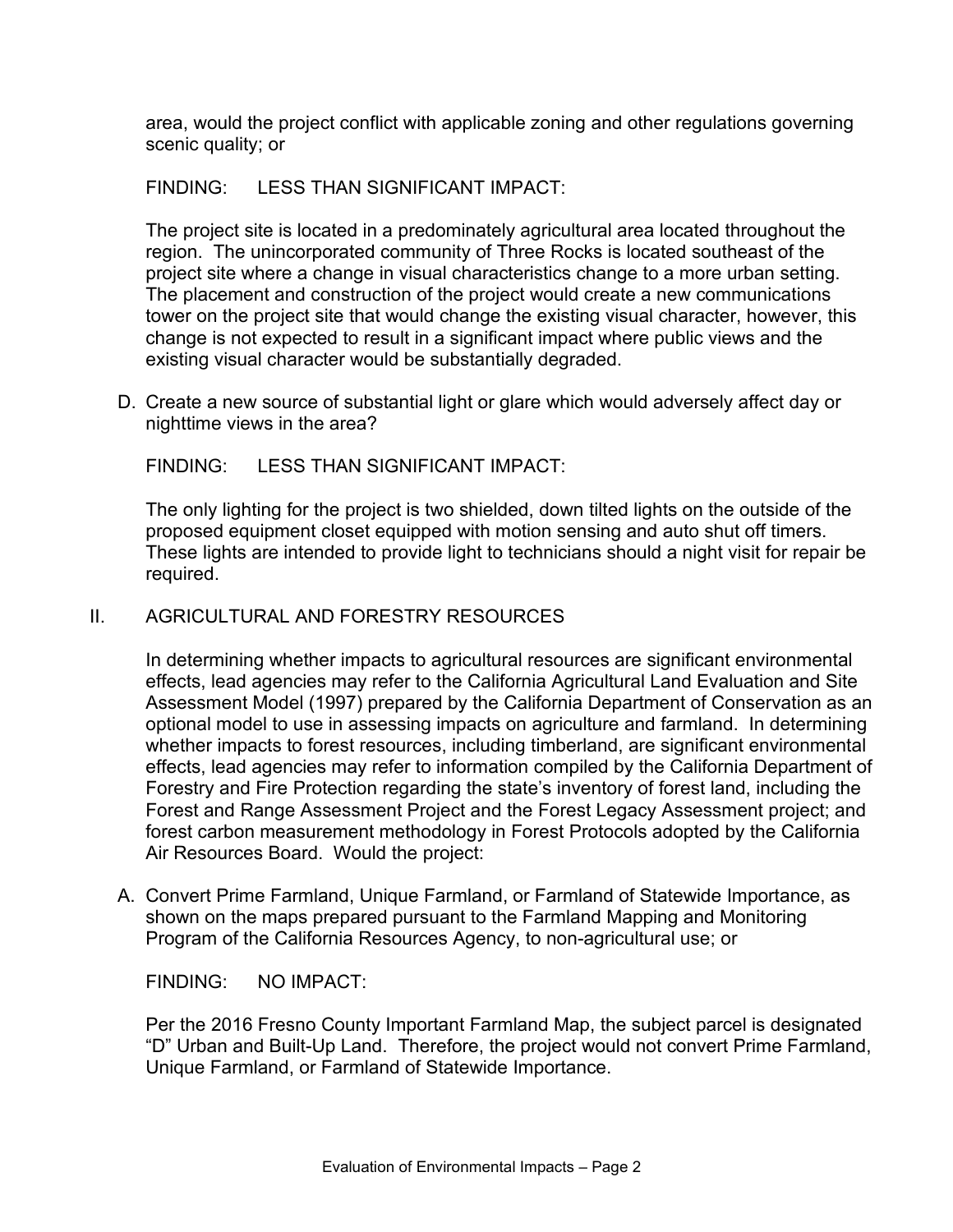area, would the project conflict with applicable zoning and other regulations governing scenic quality; or

# FINDING: LESS THAN SIGNIFICANT IMPACT:

The project site is located in a predominately agricultural area located throughout the region. The unincorporated community of Three Rocks is located southeast of the project site where a change in visual characteristics change to a more urban setting. The placement and construction of the project would create a new communications tower on the project site that would change the existing visual character, however, this change is not expected to result in a significant impact where public views and the existing visual character would be substantially degraded.

D. Create a new source of substantial light or glare which would adversely affect day or nighttime views in the area?

FINDING: LESS THAN SIGNIFICANT IMPACT:

The only lighting for the project is two shielded, down tilted lights on the outside of the proposed equipment closet equipped with motion sensing and auto shut off timers. These lights are intended to provide light to technicians should a night visit for repair be required.

# II. AGRICULTURAL AND FORESTRY RESOURCES

In determining whether impacts to agricultural resources are significant environmental effects, lead agencies may refer to the California Agricultural Land Evaluation and Site Assessment Model (1997) prepared by the California Department of Conservation as an optional model to use in assessing impacts on agriculture and farmland. In determining whether impacts to forest resources, including timberland, are significant environmental effects, lead agencies may refer to information compiled by the California Department of Forestry and Fire Protection regarding the state's inventory of forest land, including the Forest and Range Assessment Project and the Forest Legacy Assessment project; and forest carbon measurement methodology in Forest Protocols adopted by the California Air Resources Board. Would the project:

A. Convert Prime Farmland, Unique Farmland, or Farmland of Statewide Importance, as shown on the maps prepared pursuant to the Farmland Mapping and Monitoring Program of the California Resources Agency, to non-agricultural use; or

FINDING: NO IMPACT:

Per the 2016 Fresno County Important Farmland Map, the subject parcel is designated "D" Urban and Built-Up Land. Therefore, the project would not convert Prime Farmland, Unique Farmland, or Farmland of Statewide Importance.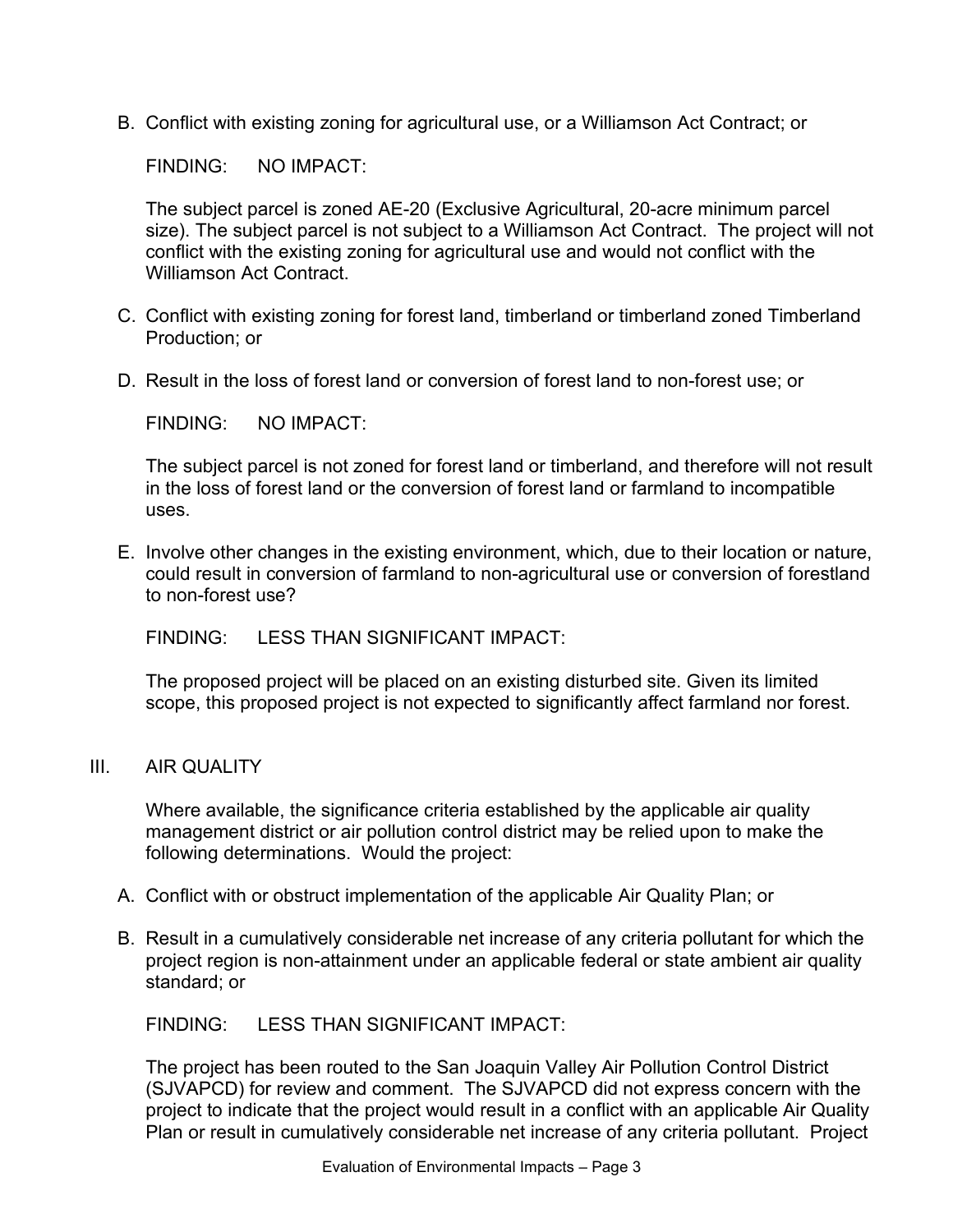B. Conflict with existing zoning for agricultural use, or a Williamson Act Contract; or

FINDING: NO IMPACT:

The subject parcel is zoned AE-20 (Exclusive Agricultural, 20-acre minimum parcel size). The subject parcel is not subject to a Williamson Act Contract. The project will not conflict with the existing zoning for agricultural use and would not conflict with the Williamson Act Contract.

- C. Conflict with existing zoning for forest land, timberland or timberland zoned Timberland Production; or
- D. Result in the loss of forest land or conversion of forest land to non-forest use; or

FINDING: NO IMPACT:

The subject parcel is not zoned for forest land or timberland, and therefore will not result in the loss of forest land or the conversion of forest land or farmland to incompatible uses.

E. Involve other changes in the existing environment, which, due to their location or nature, could result in conversion of farmland to non-agricultural use or conversion of forestland to non-forest use?

FINDING: LESS THAN SIGNIFICANT IMPACT:

The proposed project will be placed on an existing disturbed site. Given its limited scope, this proposed project is not expected to significantly affect farmland nor forest.

III. AIR QUALITY

Where available, the significance criteria established by the applicable air quality management district or air pollution control district may be relied upon to make the following determinations. Would the project:

- A. Conflict with or obstruct implementation of the applicable Air Quality Plan; or
- B. Result in a cumulatively considerable net increase of any criteria pollutant for which the project region is non-attainment under an applicable federal or state ambient air quality standard; or

FINDING: LESS THAN SIGNIFICANT IMPACT:

The project has been routed to the San Joaquin Valley Air Pollution Control District (SJVAPCD) for review and comment. The SJVAPCD did not express concern with the project to indicate that the project would result in a conflict with an applicable Air Quality Plan or result in cumulatively considerable net increase of any criteria pollutant. Project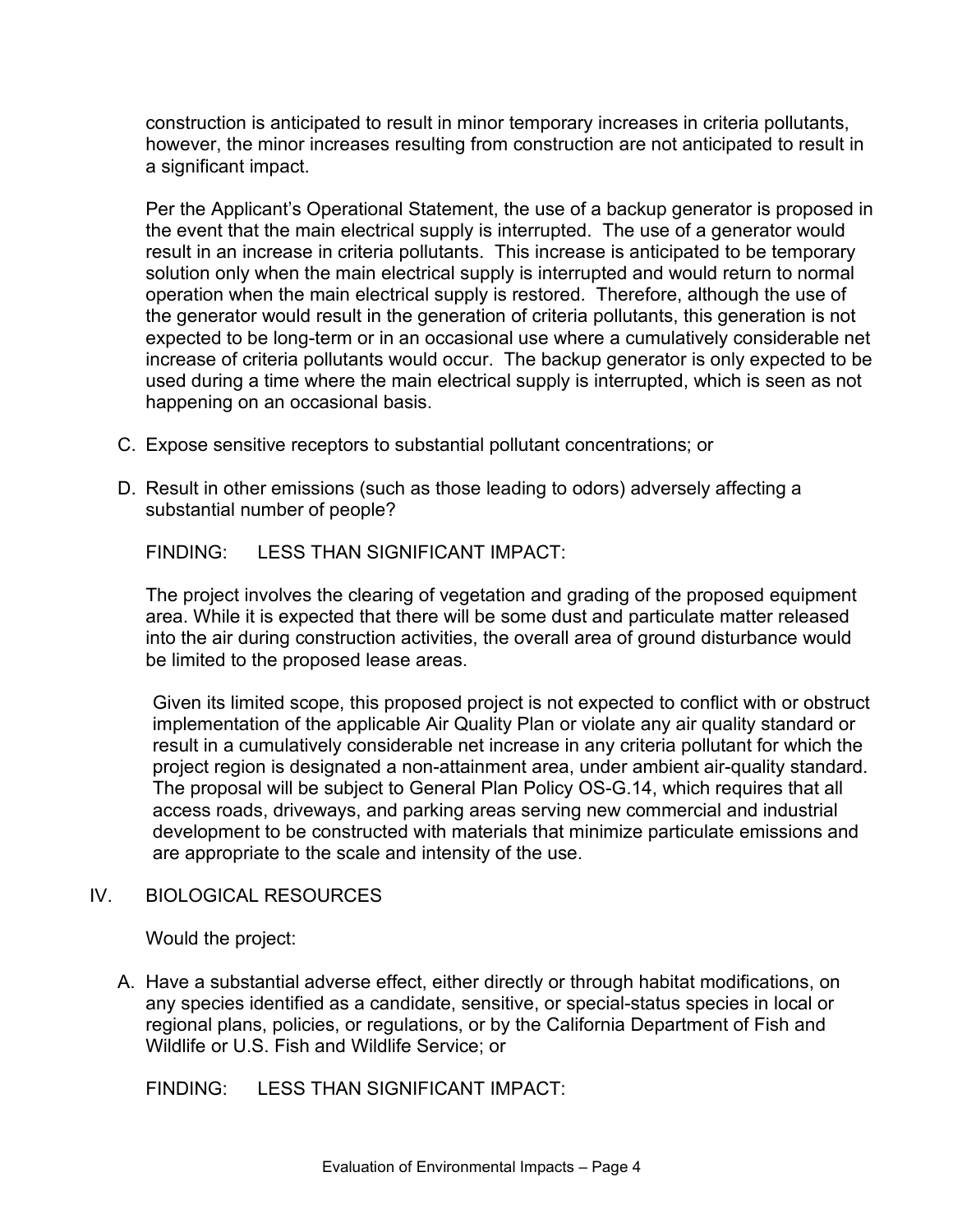construction is anticipated to result in minor temporary increases in criteria pollutants, however, the minor increases resulting from construction are not anticipated to result in a significant impact.

Per the Applicant's Operational Statement, the use of a backup generator is proposed in the event that the main electrical supply is interrupted. The use of a generator would result in an increase in criteria pollutants. This increase is anticipated to be temporary solution only when the main electrical supply is interrupted and would return to normal operation when the main electrical supply is restored. Therefore, although the use of the generator would result in the generation of criteria pollutants, this generation is not expected to be long-term or in an occasional use where a cumulatively considerable net increase of criteria pollutants would occur. The backup generator is only expected to be used during a time where the main electrical supply is interrupted, which is seen as not happening on an occasional basis.

- C. Expose sensitive receptors to substantial pollutant concentrations; or
- D. Result in other emissions (such as those leading to odors) adversely affecting a substantial number of people?

FINDING: LESS THAN SIGNIFICANT IMPACT:

The project involves the clearing of vegetation and grading of the proposed equipment area. While it is expected that there will be some dust and particulate matter released into the air during construction activities, the overall area of ground disturbance would be limited to the proposed lease areas.

Given its limited scope, this proposed project is not expected to conflict with or obstruct implementation of the applicable Air Quality Plan or violate any air quality standard or result in a cumulatively considerable net increase in any criteria pollutant for which the project region is designated a non-attainment area, under ambient air-quality standard. The proposal will be subject to General Plan Policy OS-G.14, which requires that all access roads, driveways, and parking areas serving new commercial and industrial development to be constructed with materials that minimize particulate emissions and are appropriate to the scale and intensity of the use.

# IV. BIOLOGICAL RESOURCES

Would the project:

A. Have a substantial adverse effect, either directly or through habitat modifications, on any species identified as a candidate, sensitive, or special-status species in local or regional plans, policies, or regulations, or by the California Department of Fish and Wildlife or U.S. Fish and Wildlife Service; or

FINDING: LESS THAN SIGNIFICANT IMPACT: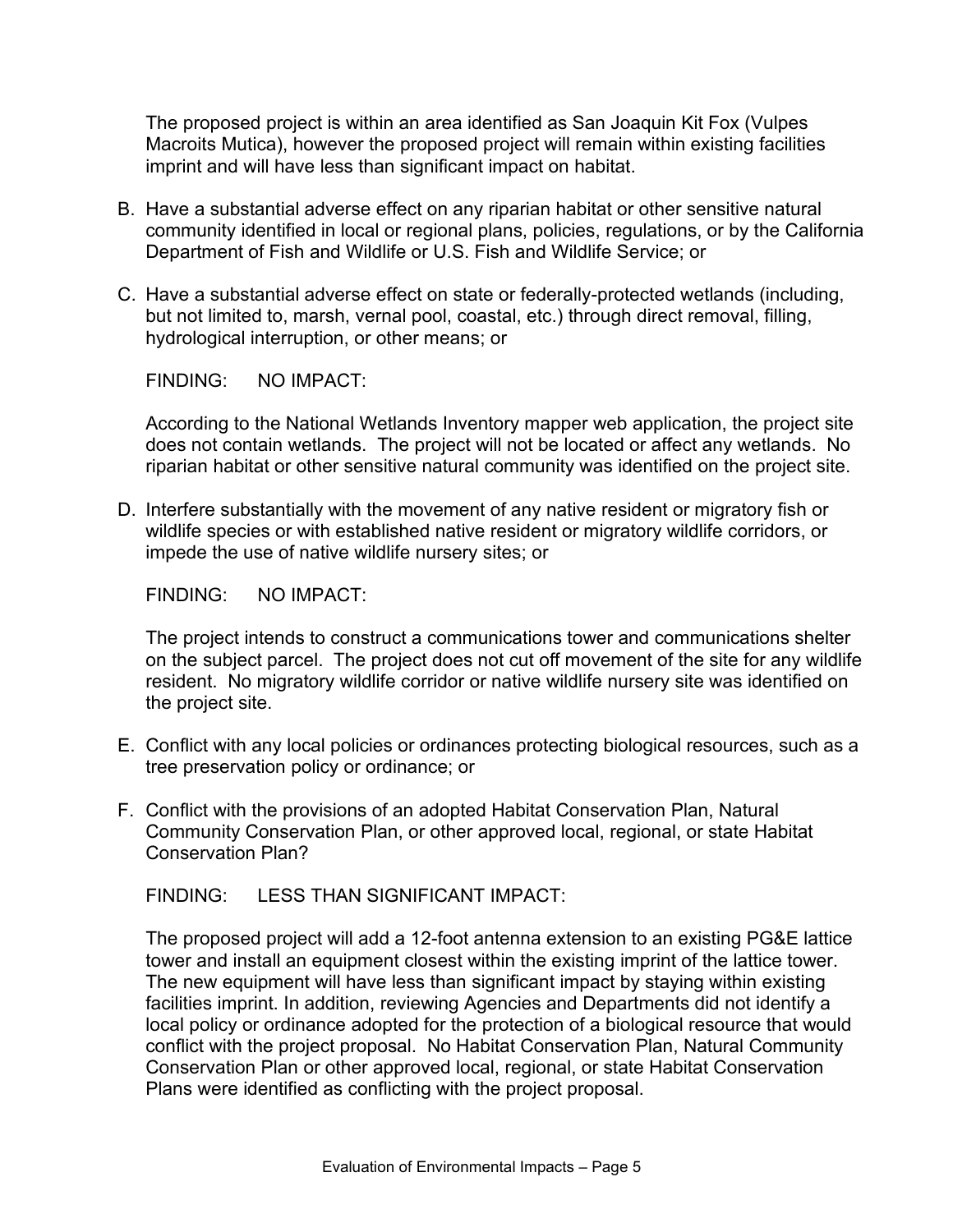The proposed project is within an area identified as San Joaquin Kit Fox (Vulpes Macroits Mutica), however the proposed project will remain within existing facilities imprint and will have less than significant impact on habitat.

- B. Have a substantial adverse effect on any riparian habitat or other sensitive natural community identified in local or regional plans, policies, regulations, or by the California Department of Fish and Wildlife or U.S. Fish and Wildlife Service; or
- C. Have a substantial adverse effect on state or federally-protected wetlands (including, but not limited to, marsh, vernal pool, coastal, etc.) through direct removal, filling, hydrological interruption, or other means; or

FINDING: NO IMPACT:

According to the National Wetlands Inventory mapper web application, the project site does not contain wetlands. The project will not be located or affect any wetlands. No riparian habitat or other sensitive natural community was identified on the project site.

D. Interfere substantially with the movement of any native resident or migratory fish or wildlife species or with established native resident or migratory wildlife corridors, or impede the use of native wildlife nursery sites; or

FINDING: NO IMPACT:

The project intends to construct a communications tower and communications shelter on the subject parcel. The project does not cut off movement of the site for any wildlife resident. No migratory wildlife corridor or native wildlife nursery site was identified on the project site.

- E. Conflict with any local policies or ordinances protecting biological resources, such as a tree preservation policy or ordinance; or
- F. Conflict with the provisions of an adopted Habitat Conservation Plan, Natural Community Conservation Plan, or other approved local, regional, or state Habitat Conservation Plan?

FINDING: LESS THAN SIGNIFICANT IMPACT:

The proposed project will add a 12-foot antenna extension to an existing PG&E lattice tower and install an equipment closest within the existing imprint of the lattice tower. The new equipment will have less than significant impact by staying within existing facilities imprint. In addition, reviewing Agencies and Departments did not identify a local policy or ordinance adopted for the protection of a biological resource that would conflict with the project proposal. No Habitat Conservation Plan, Natural Community Conservation Plan or other approved local, regional, or state Habitat Conservation Plans were identified as conflicting with the project proposal.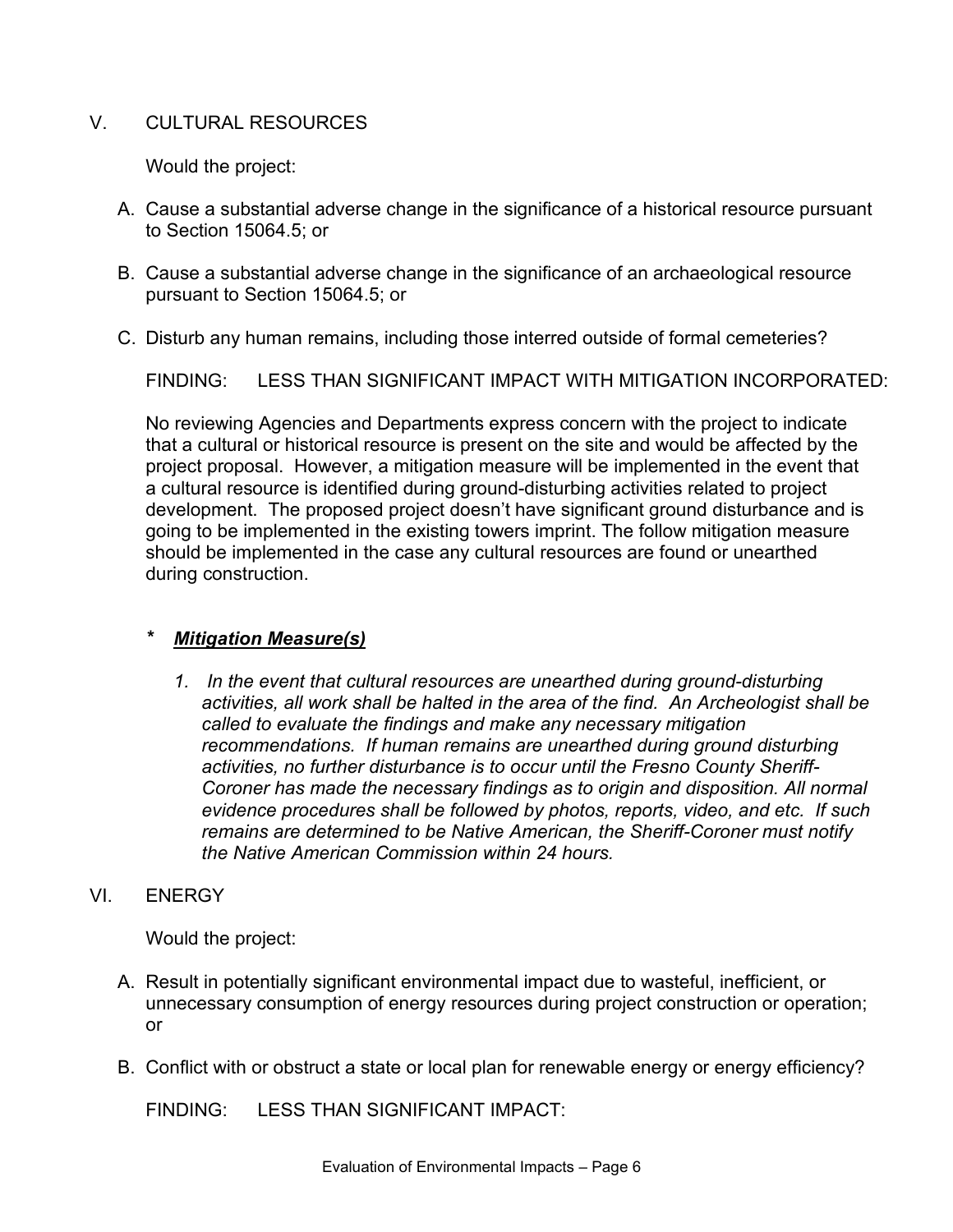# V. CULTURAL RESOURCES

Would the project:

- A. Cause a substantial adverse change in the significance of a historical resource pursuant to Section 15064.5; or
- B. Cause a substantial adverse change in the significance of an archaeological resource pursuant to Section 15064.5; or
- C. Disturb any human remains, including those interred outside of formal cemeteries?

FINDING: LESS THAN SIGNIFICANT IMPACT WITH MITIGATION INCORPORATED:

No reviewing Agencies and Departments express concern with the project to indicate that a cultural or historical resource is present on the site and would be affected by the project proposal. However, a mitigation measure will be implemented in the event that a cultural resource is identified during ground-disturbing activities related to project development. The proposed project doesn't have significant ground disturbance and is going to be implemented in the existing towers imprint. The follow mitigation measure should be implemented in the case any cultural resources are found or unearthed during construction.

# *\* Mitigation Measure(s)*

- *1. In the event that cultural resources are unearthed during ground-disturbing activities, all work shall be halted in the area of the find. An Archeologist shall be called to evaluate the findings and make any necessary mitigation recommendations. If human remains are unearthed during ground disturbing activities, no further disturbance is to occur until the Fresno County Sheriff-Coroner has made the necessary findings as to origin and disposition. All normal evidence procedures shall be followed by photos, reports, video, and etc. If such remains are determined to be Native American, the Sheriff-Coroner must notify the Native American Commission within 24 hours.*
- VI. **ENERGY**

Would the project:

- A. Result in potentially significant environmental impact due to wasteful, inefficient, or unnecessary consumption of energy resources during project construction or operation; or
- B. Conflict with or obstruct a state or local plan for renewable energy or energy efficiency?

FINDING: LESS THAN SIGNIFICANT IMPACT: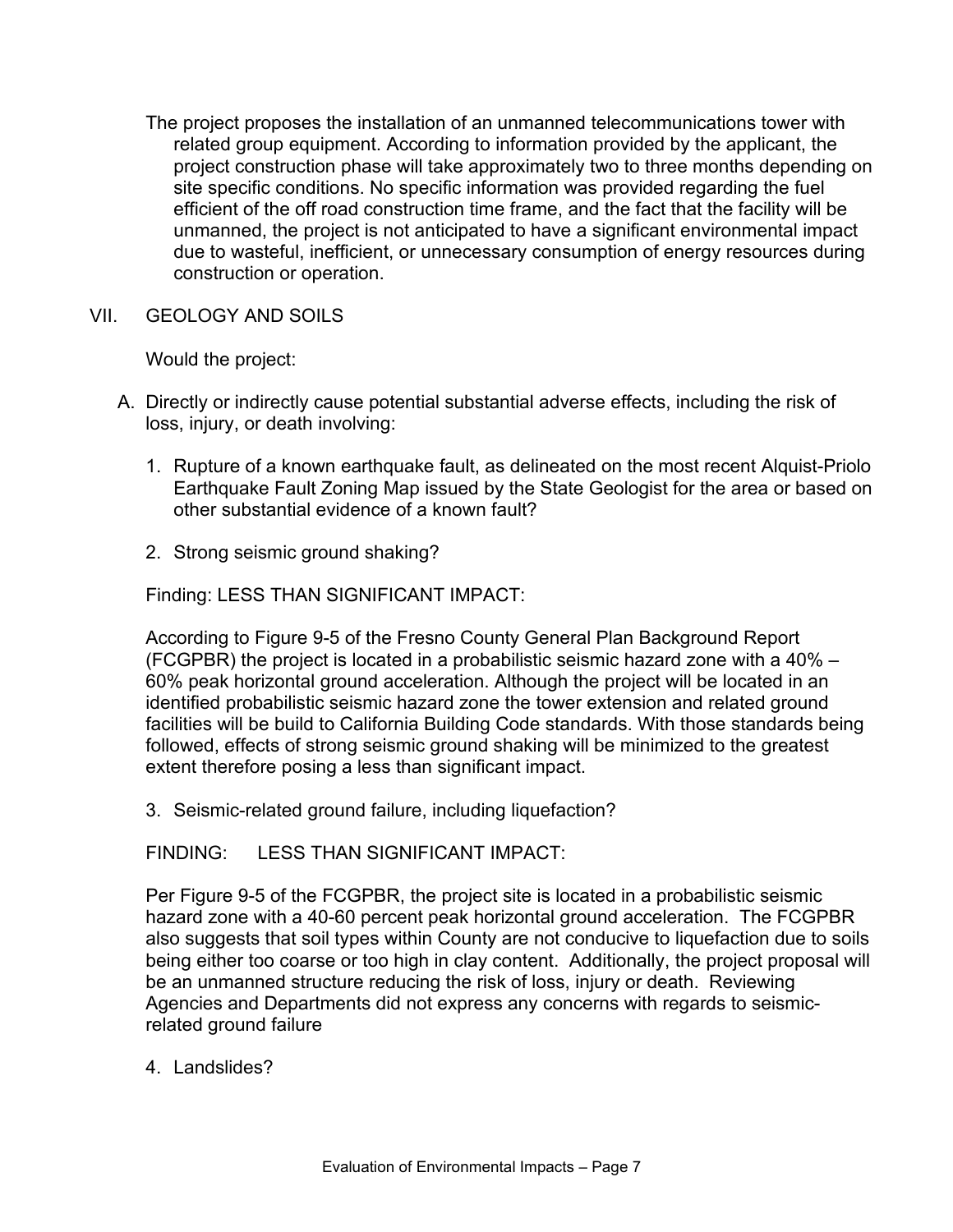- The project proposes the installation of an unmanned telecommunications tower with related group equipment. According to information provided by the applicant, the project construction phase will take approximately two to three months depending on site specific conditions. No specific information was provided regarding the fuel efficient of the off road construction time frame, and the fact that the facility will be unmanned, the project is not anticipated to have a significant environmental impact due to wasteful, inefficient, or unnecessary consumption of energy resources during construction or operation.
- VII. GEOLOGY AND SOILS

Would the project:

- A. Directly or indirectly cause potential substantial adverse effects, including the risk of loss, injury, or death involving:
	- 1. Rupture of a known earthquake fault, as delineated on the most recent Alquist-Priolo Earthquake Fault Zoning Map issued by the State Geologist for the area or based on other substantial evidence of a known fault?
	- 2. Strong seismic ground shaking?

Finding: LESS THAN SIGNIFICANT IMPACT:

According to Figure 9-5 of the Fresno County General Plan Background Report (FCGPBR) the project is located in a probabilistic seismic hazard zone with a 40% – 60% peak horizontal ground acceleration. Although the project will be located in an identified probabilistic seismic hazard zone the tower extension and related ground facilities will be build to California Building Code standards. With those standards being followed, effects of strong seismic ground shaking will be minimized to the greatest extent therefore posing a less than significant impact.

3. Seismic-related ground failure, including liquefaction?

FINDING: LESS THAN SIGNIFICANT IMPACT:

Per Figure 9-5 of the FCGPBR, the project site is located in a probabilistic seismic hazard zone with a 40-60 percent peak horizontal ground acceleration. The FCGPBR also suggests that soil types within County are not conducive to liquefaction due to soils being either too coarse or too high in clay content. Additionally, the project proposal will be an unmanned structure reducing the risk of loss, injury or death. Reviewing Agencies and Departments did not express any concerns with regards to seismicrelated ground failure

4. Landslides?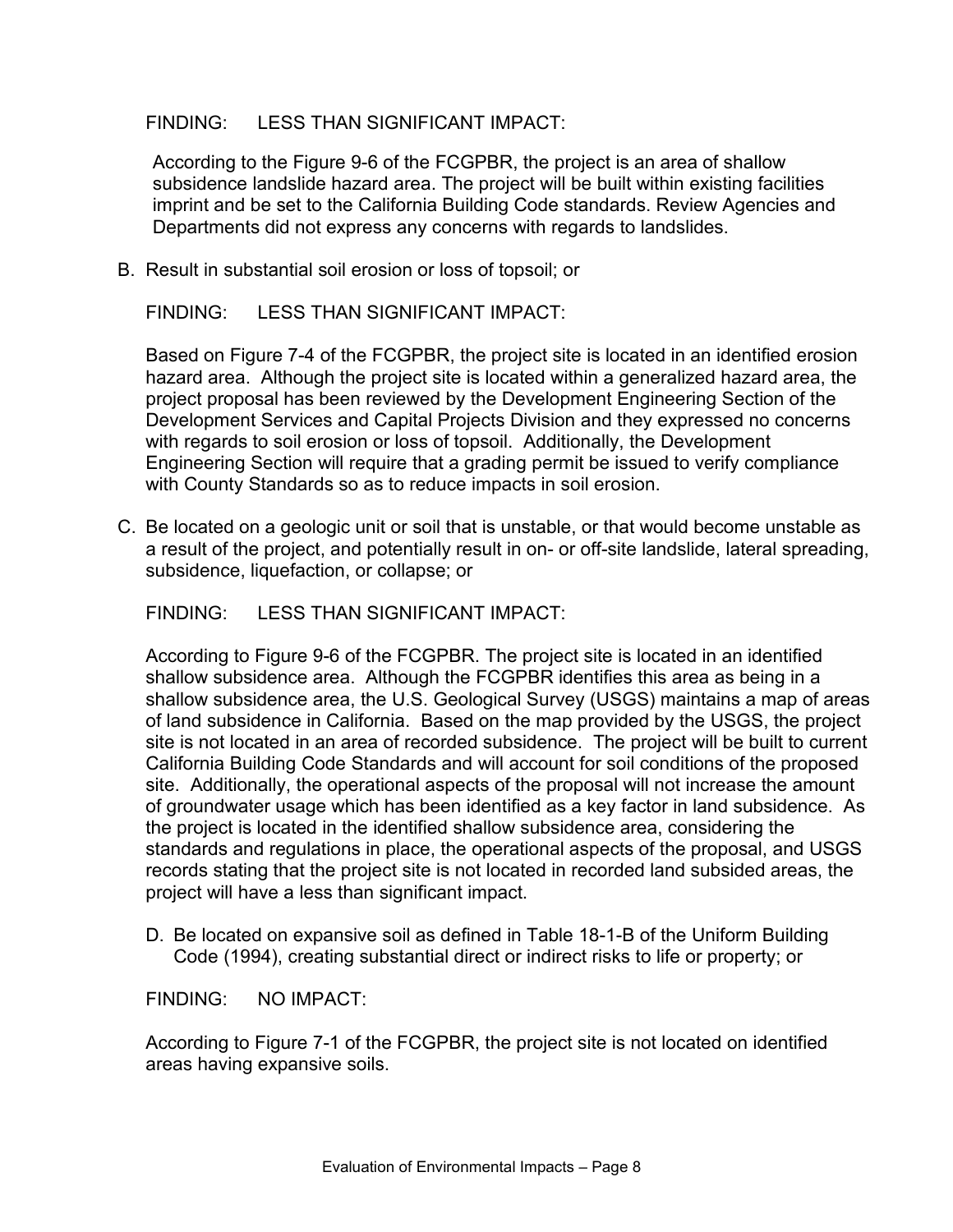### FINDING: LESS THAN SIGNIFICANT IMPACT:

According to the Figure 9-6 of the FCGPBR, the project is an area of shallow subsidence landslide hazard area. The project will be built within existing facilities imprint and be set to the California Building Code standards. Review Agencies and Departments did not express any concerns with regards to landslides.

B. Result in substantial soil erosion or loss of topsoil; or

FINDING: LESS THAN SIGNIFICANT IMPACT:

Based on Figure 7-4 of the FCGPBR, the project site is located in an identified erosion hazard area. Although the project site is located within a generalized hazard area, the project proposal has been reviewed by the Development Engineering Section of the Development Services and Capital Projects Division and they expressed no concerns with regards to soil erosion or loss of topsoil. Additionally, the Development Engineering Section will require that a grading permit be issued to verify compliance with County Standards so as to reduce impacts in soil erosion.

C. Be located on a geologic unit or soil that is unstable, or that would become unstable as a result of the project, and potentially result in on- or off-site landslide, lateral spreading, subsidence, liquefaction, or collapse; or

FINDING: LESS THAN SIGNIFICANT IMPACT:

According to Figure 9-6 of the FCGPBR. The project site is located in an identified shallow subsidence area. Although the FCGPBR identifies this area as being in a shallow subsidence area, the U.S. Geological Survey (USGS) maintains a map of areas of land subsidence in California. Based on the map provided by the USGS, the project site is not located in an area of recorded subsidence. The project will be built to current California Building Code Standards and will account for soil conditions of the proposed site. Additionally, the operational aspects of the proposal will not increase the amount of groundwater usage which has been identified as a key factor in land subsidence. As the project is located in the identified shallow subsidence area, considering the standards and regulations in place, the operational aspects of the proposal, and USGS records stating that the project site is not located in recorded land subsided areas, the project will have a less than significant impact.

D. Be located on expansive soil as defined in Table 18-1-B of the Uniform Building Code (1994), creating substantial direct or indirect risks to life or property; or

FINDING: NO IMPACT:

According to Figure 7-1 of the FCGPBR, the project site is not located on identified areas having expansive soils.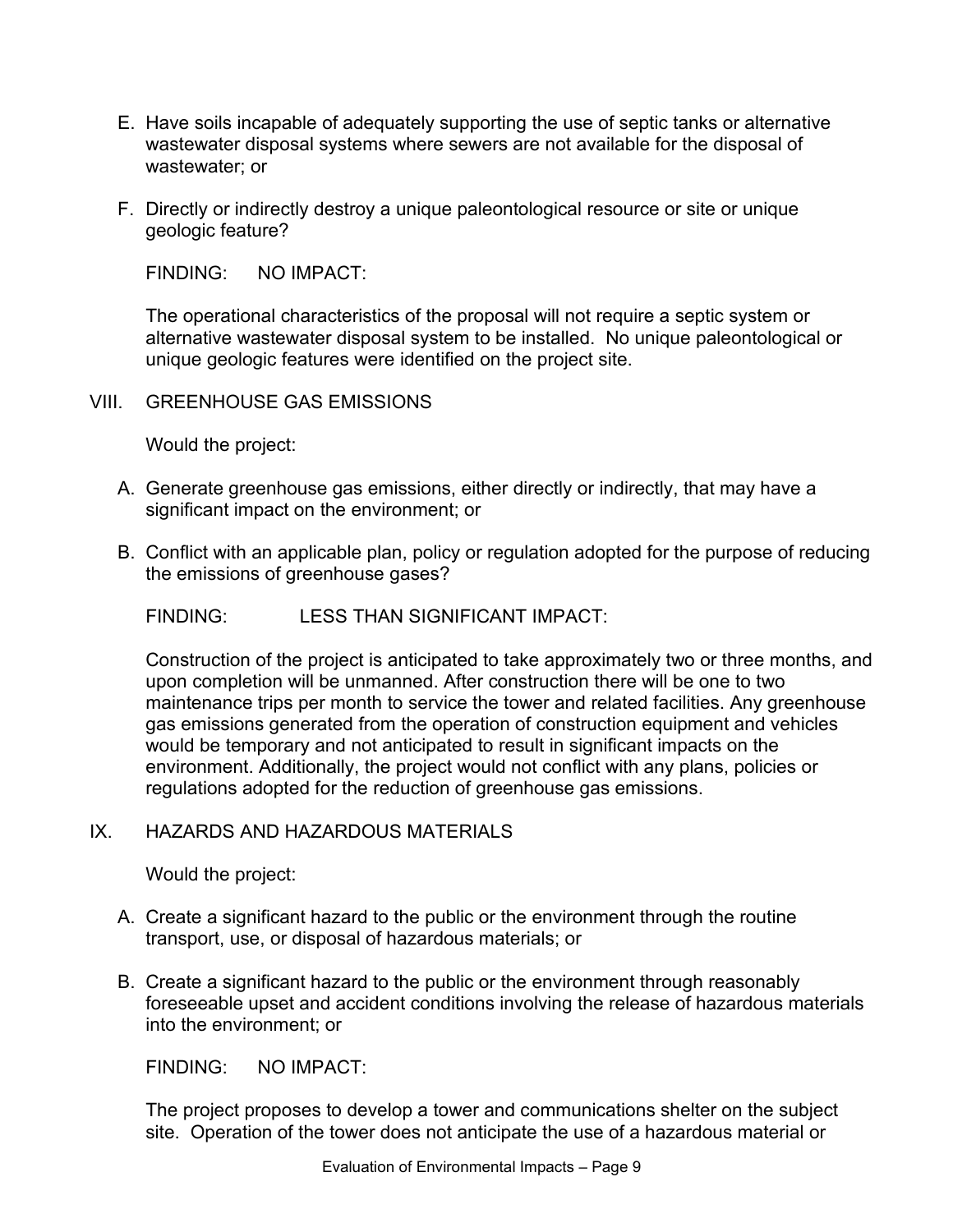- E. Have soils incapable of adequately supporting the use of septic tanks or alternative wastewater disposal systems where sewers are not available for the disposal of wastewater; or
- F. Directly or indirectly destroy a unique paleontological resource or site or unique geologic feature?

The operational characteristics of the proposal will not require a septic system or alternative wastewater disposal system to be installed. No unique paleontological or unique geologic features were identified on the project site.

VIII. GREENHOUSE GAS EMISSIONS

Would the project:

- A. Generate greenhouse gas emissions, either directly or indirectly, that may have a significant impact on the environment; or
- B. Conflict with an applicable plan, policy or regulation adopted for the purpose of reducing the emissions of greenhouse gases?

FINDING: LESS THAN SIGNIFICANT IMPACT:

Construction of the project is anticipated to take approximately two or three months, and upon completion will be unmanned. After construction there will be one to two maintenance trips per month to service the tower and related facilities. Any greenhouse gas emissions generated from the operation of construction equipment and vehicles would be temporary and not anticipated to result in significant impacts on the environment. Additionally, the project would not conflict with any plans, policies or regulations adopted for the reduction of greenhouse gas emissions.

# IX. HAZARDS AND HAZARDOUS MATERIALS

Would the project:

- A. Create a significant hazard to the public or the environment through the routine transport, use, or disposal of hazardous materials; or
- B. Create a significant hazard to the public or the environment through reasonably foreseeable upset and accident conditions involving the release of hazardous materials into the environment; or

FINDING: NO IMPACT:

The project proposes to develop a tower and communications shelter on the subject site. Operation of the tower does not anticipate the use of a hazardous material or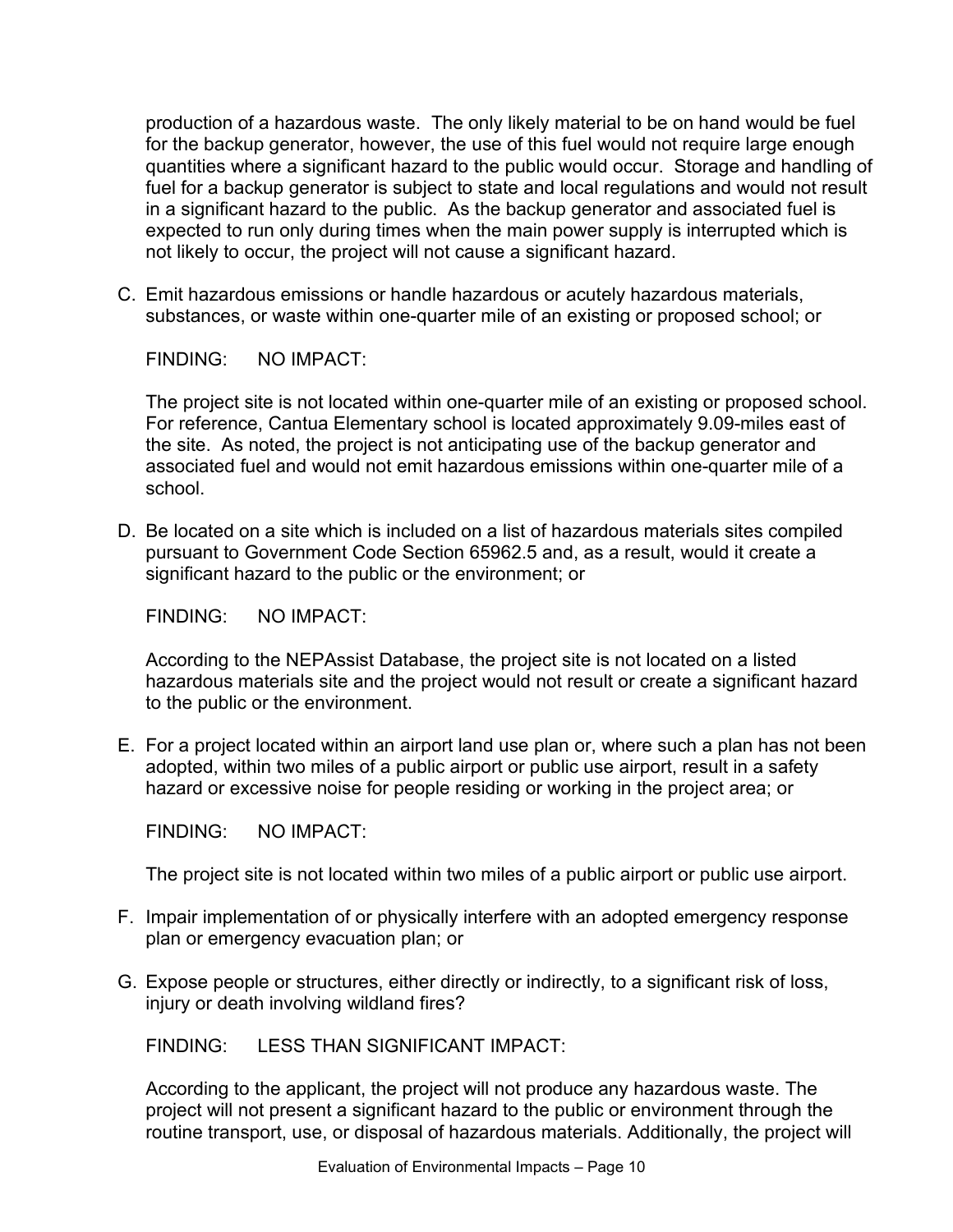production of a hazardous waste. The only likely material to be on hand would be fuel for the backup generator, however, the use of this fuel would not require large enough quantities where a significant hazard to the public would occur. Storage and handling of fuel for a backup generator is subject to state and local regulations and would not result in a significant hazard to the public. As the backup generator and associated fuel is expected to run only during times when the main power supply is interrupted which is not likely to occur, the project will not cause a significant hazard.

C. Emit hazardous emissions or handle hazardous or acutely hazardous materials, substances, or waste within one-quarter mile of an existing or proposed school; or

FINDING: NO IMPACT:

The project site is not located within one-quarter mile of an existing or proposed school. For reference, Cantua Elementary school is located approximately 9.09-miles east of the site. As noted, the project is not anticipating use of the backup generator and associated fuel and would not emit hazardous emissions within one-quarter mile of a school.

D. Be located on a site which is included on a list of hazardous materials sites compiled pursuant to Government Code Section 65962.5 and, as a result, would it create a significant hazard to the public or the environment; or

FINDING: NO IMPACT:

According to the NEPAssist Database, the project site is not located on a listed hazardous materials site and the project would not result or create a significant hazard to the public or the environment.

E. For a project located within an airport land use plan or, where such a plan has not been adopted, within two miles of a public airport or public use airport, result in a safety hazard or excessive noise for people residing or working in the project area; or

FINDING: NO IMPACT:

The project site is not located within two miles of a public airport or public use airport.

- F. Impair implementation of or physically interfere with an adopted emergency response plan or emergency evacuation plan; or
- G. Expose people or structures, either directly or indirectly, to a significant risk of loss, injury or death involving wildland fires?

FINDING: LESS THAN SIGNIFICANT IMPACT:

According to the applicant, the project will not produce any hazardous waste. The project will not present a significant hazard to the public or environment through the routine transport, use, or disposal of hazardous materials. Additionally, the project will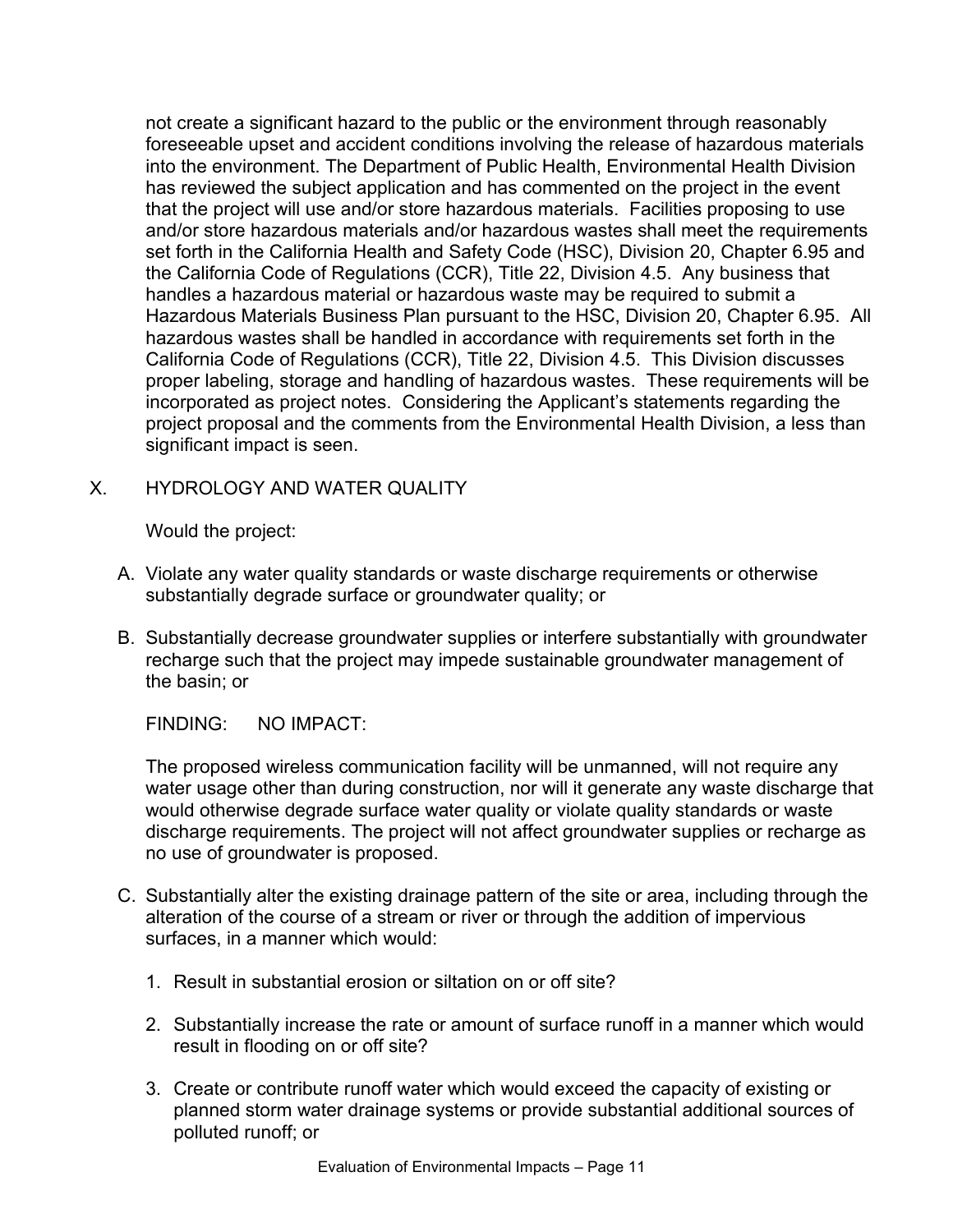not create a significant hazard to the public or the environment through reasonably foreseeable upset and accident conditions involving the release of hazardous materials into the environment. The Department of Public Health, Environmental Health Division has reviewed the subject application and has commented on the project in the event that the project will use and/or store hazardous materials. Facilities proposing to use and/or store hazardous materials and/or hazardous wastes shall meet the requirements set forth in the California Health and Safety Code (HSC), Division 20, Chapter 6.95 and the California Code of Regulations (CCR), Title 22, Division 4.5. Any business that handles a hazardous material or hazardous waste may be required to submit a Hazardous Materials Business Plan pursuant to the HSC, Division 20, Chapter 6.95. All hazardous wastes shall be handled in accordance with requirements set forth in the California Code of Regulations (CCR), Title 22, Division 4.5. This Division discusses proper labeling, storage and handling of hazardous wastes. These requirements will be incorporated as project notes. Considering the Applicant's statements regarding the project proposal and the comments from the Environmental Health Division, a less than significant impact is seen.

# X. HYDROLOGY AND WATER QUALITY

Would the project:

- A. Violate any water quality standards or waste discharge requirements or otherwise substantially degrade surface or groundwater quality; or
- B. Substantially decrease groundwater supplies or interfere substantially with groundwater recharge such that the project may impede sustainable groundwater management of the basin; or

FINDING: NO IMPACT:

The proposed wireless communication facility will be unmanned, will not require any water usage other than during construction, nor will it generate any waste discharge that would otherwise degrade surface water quality or violate quality standards or waste discharge requirements. The project will not affect groundwater supplies or recharge as no use of groundwater is proposed.

- C. Substantially alter the existing drainage pattern of the site or area, including through the alteration of the course of a stream or river or through the addition of impervious surfaces, in a manner which would:
	- 1. Result in substantial erosion or siltation on or off site?
	- 2. Substantially increase the rate or amount of surface runoff in a manner which would result in flooding on or off site?
	- 3. Create or contribute runoff water which would exceed the capacity of existing or planned storm water drainage systems or provide substantial additional sources of polluted runoff; or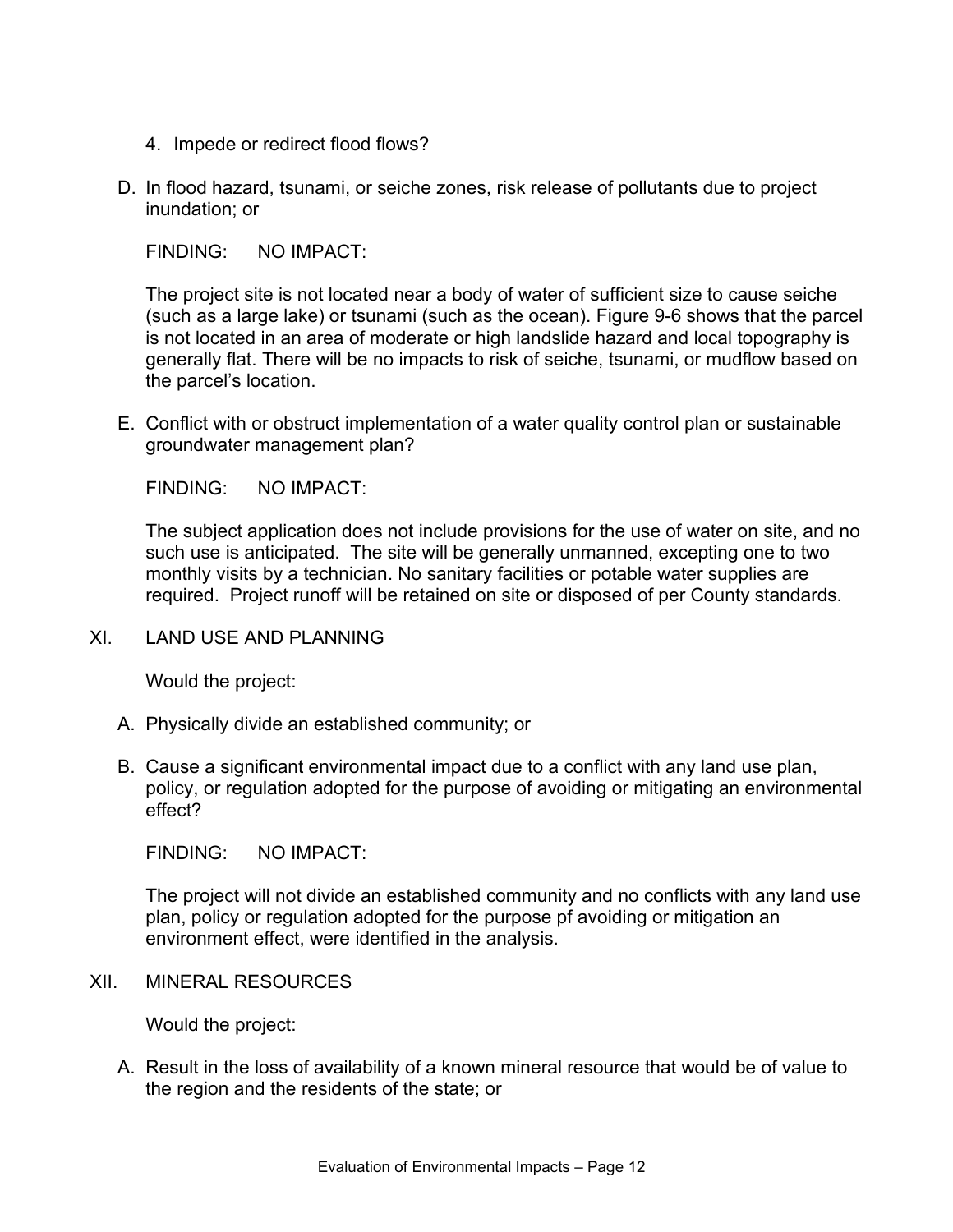- 4. Impede or redirect flood flows?
- D. In flood hazard, tsunami, or seiche zones, risk release of pollutants due to project inundation; or

The project site is not located near a body of water of sufficient size to cause seiche (such as a large lake) or tsunami (such as the ocean). Figure 9-6 shows that the parcel is not located in an area of moderate or high landslide hazard and local topography is generally flat. There will be no impacts to risk of seiche, tsunami, or mudflow based on the parcel's location.

E. Conflict with or obstruct implementation of a water quality control plan or sustainable groundwater management plan?

FINDING: NO IMPACT:

The subject application does not include provisions for the use of water on site, and no such use is anticipated. The site will be generally unmanned, excepting one to two monthly visits by a technician. No sanitary facilities or potable water supplies are required. Project runoff will be retained on site or disposed of per County standards.

XI. LAND USE AND PLANNING

Would the project:

- A. Physically divide an established community; or
- B. Cause a significant environmental impact due to a conflict with any land use plan, policy, or regulation adopted for the purpose of avoiding or mitigating an environmental effect?

FINDING: NO IMPACT:

The project will not divide an established community and no conflicts with any land use plan, policy or regulation adopted for the purpose pf avoiding or mitigation an environment effect, were identified in the analysis.

XII. MINERAL RESOURCES

Would the project:

A. Result in the loss of availability of a known mineral resource that would be of value to the region and the residents of the state; or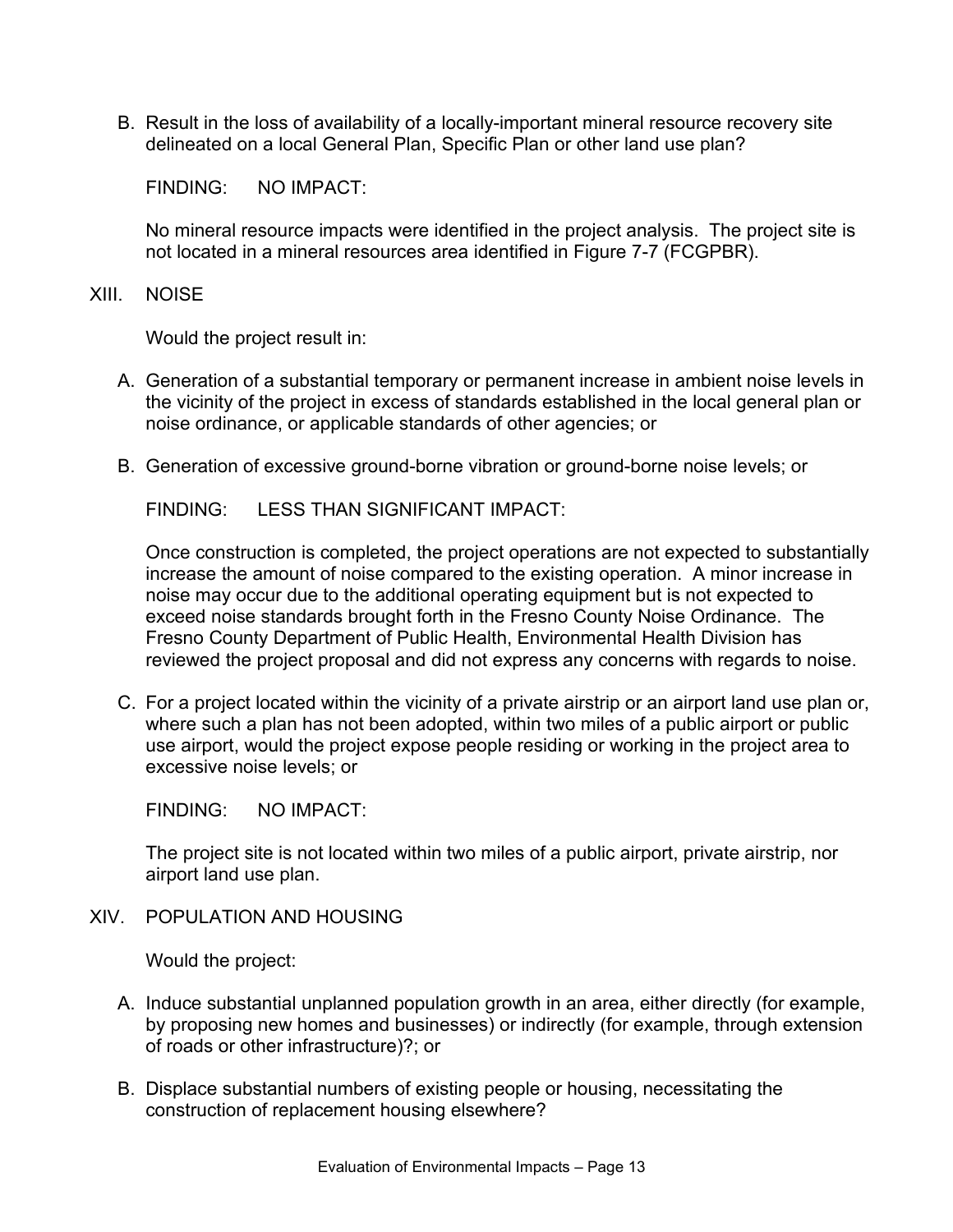B. Result in the loss of availability of a locally-important mineral resource recovery site delineated on a local General Plan, Specific Plan or other land use plan?

FINDING: NO IMPACT:

No mineral resource impacts were identified in the project analysis. The project site is not located in a mineral resources area identified in Figure 7-7 (FCGPBR).

XIII. NOISE

Would the project result in:

- A. Generation of a substantial temporary or permanent increase in ambient noise levels in the vicinity of the project in excess of standards established in the local general plan or noise ordinance, or applicable standards of other agencies; or
- B. Generation of excessive ground-borne vibration or ground-borne noise levels; or

FINDING: LESS THAN SIGNIFICANT IMPACT:

Once construction is completed, the project operations are not expected to substantially increase the amount of noise compared to the existing operation. A minor increase in noise may occur due to the additional operating equipment but is not expected to exceed noise standards brought forth in the Fresno County Noise Ordinance. The Fresno County Department of Public Health, Environmental Health Division has reviewed the project proposal and did not express any concerns with regards to noise.

C. For a project located within the vicinity of a private airstrip or an airport land use plan or, where such a plan has not been adopted, within two miles of a public airport or public use airport, would the project expose people residing or working in the project area to excessive noise levels; or

FINDING: NO IMPACT:

The project site is not located within two miles of a public airport, private airstrip, nor airport land use plan.

XIV. POPULATION AND HOUSING

Would the project:

- A. Induce substantial unplanned population growth in an area, either directly (for example, by proposing new homes and businesses) or indirectly (for example, through extension of roads or other infrastructure)?; or
- B. Displace substantial numbers of existing people or housing, necessitating the construction of replacement housing elsewhere?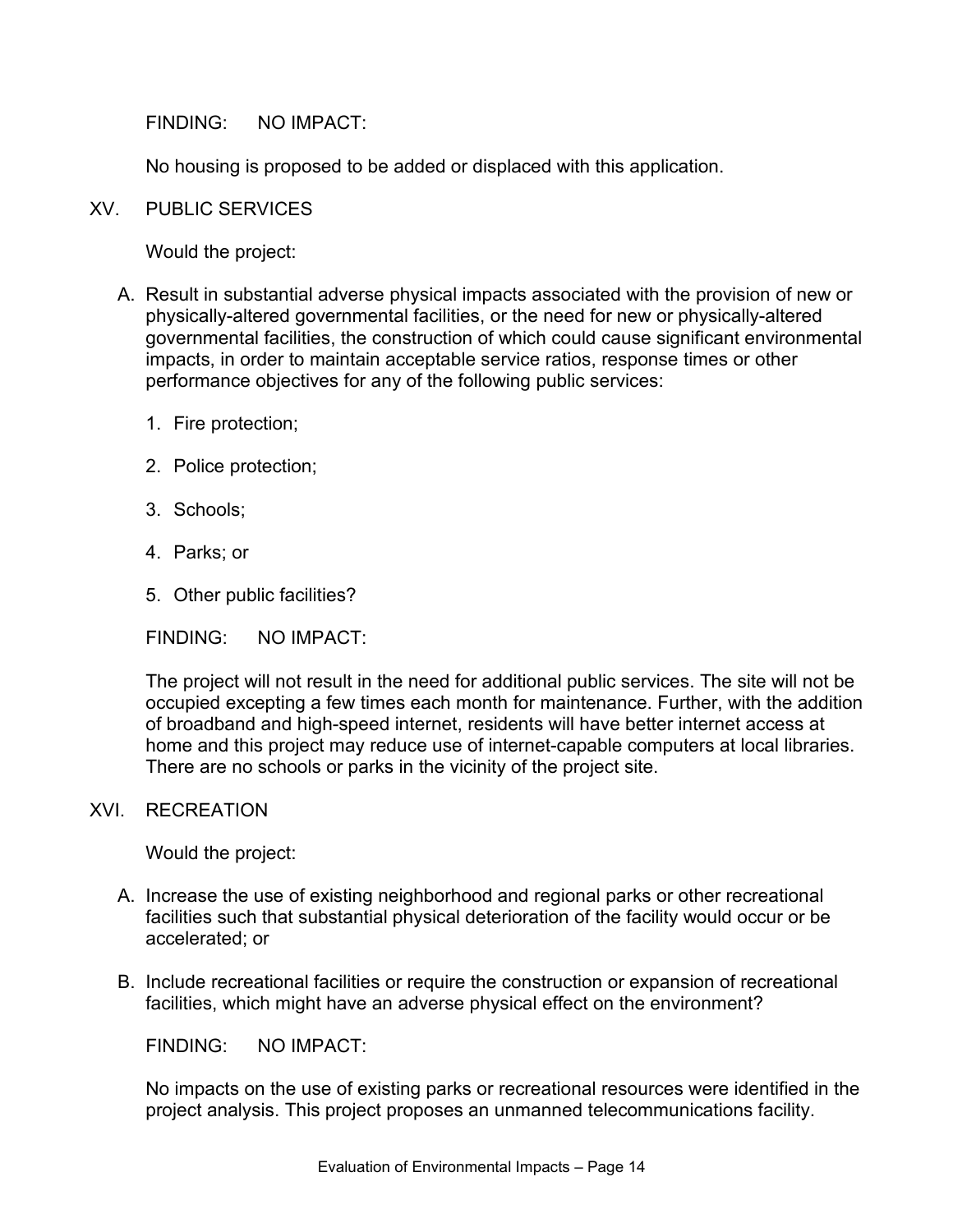No housing is proposed to be added or displaced with this application.

XV. PUBLIC SERVICES

Would the project:

- A. Result in substantial adverse physical impacts associated with the provision of new or physically-altered governmental facilities, or the need for new or physically-altered governmental facilities, the construction of which could cause significant environmental impacts, in order to maintain acceptable service ratios, response times or other performance objectives for any of the following public services:
	- 1. Fire protection;
	- 2. Police protection;
	- 3. Schools;
	- 4. Parks; or
	- 5. Other public facilities?

FINDING: NO IMPACT:

The project will not result in the need for additional public services. The site will not be occupied excepting a few times each month for maintenance. Further, with the addition of broadband and high-speed internet, residents will have better internet access at home and this project may reduce use of internet-capable computers at local libraries. There are no schools or parks in the vicinity of the project site.

#### XVI. RECREATION

Would the project:

- A. Increase the use of existing neighborhood and regional parks or other recreational facilities such that substantial physical deterioration of the facility would occur or be accelerated; or
- B. Include recreational facilities or require the construction or expansion of recreational facilities, which might have an adverse physical effect on the environment?

FINDING: NO IMPACT:

No impacts on the use of existing parks or recreational resources were identified in the project analysis. This project proposes an unmanned telecommunications facility.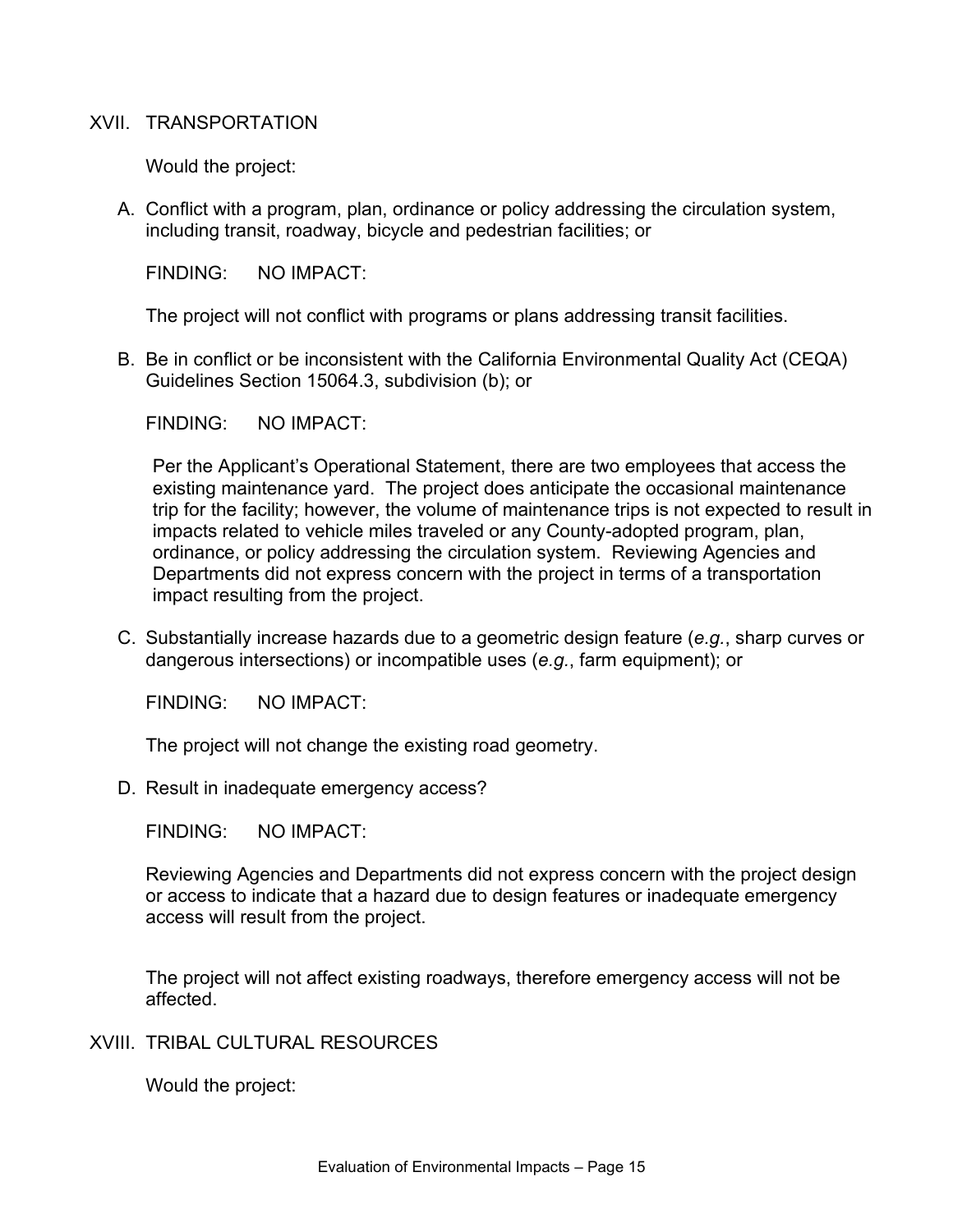### XVII. TRANSPORTATION

Would the project:

A. Conflict with a program, plan, ordinance or policy addressing the circulation system, including transit, roadway, bicycle and pedestrian facilities; or

FINDING: NO IMPACT:

The project will not conflict with programs or plans addressing transit facilities.

B. Be in conflict or be inconsistent with the California Environmental Quality Act (CEQA) Guidelines Section 15064.3, subdivision (b); or

FINDING: NO IMPACT:

Per the Applicant's Operational Statement, there are two employees that access the existing maintenance yard. The project does anticipate the occasional maintenance trip for the facility; however, the volume of maintenance trips is not expected to result in impacts related to vehicle miles traveled or any County-adopted program, plan, ordinance, or policy addressing the circulation system. Reviewing Agencies and Departments did not express concern with the project in terms of a transportation impact resulting from the project.

C. Substantially increase hazards due to a geometric design feature (*e.g.*, sharp curves or dangerous intersections) or incompatible uses (*e.g.*, farm equipment); or

FINDING: NO IMPACT:

The project will not change the existing road geometry.

D. Result in inadequate emergency access?

FINDING: NO IMPACT:

Reviewing Agencies and Departments did not express concern with the project design or access to indicate that a hazard due to design features or inadequate emergency access will result from the project.

The project will not affect existing roadways, therefore emergency access will not be affected.

# XVIII. TRIBAL CULTURAL RESOURCES

Would the project: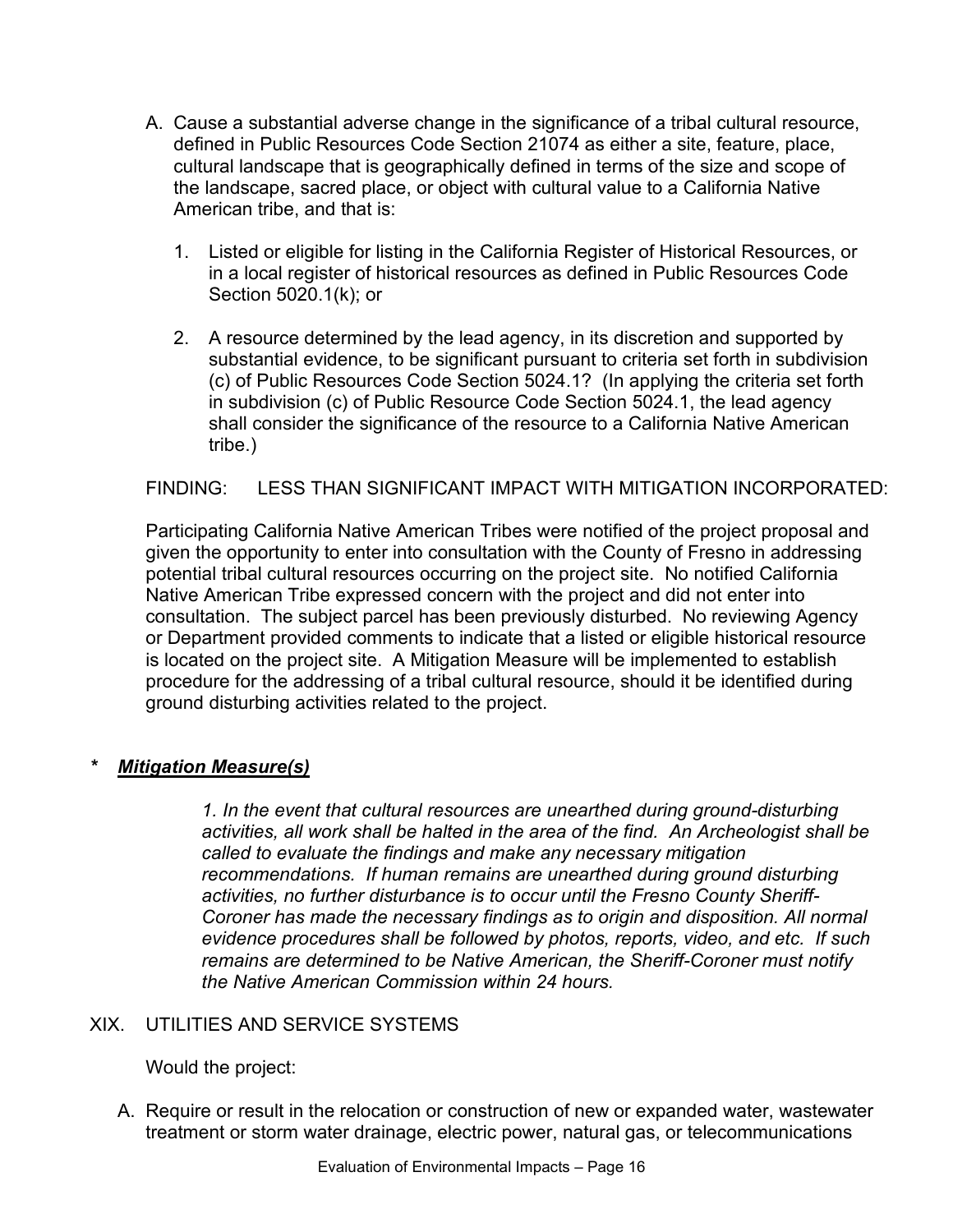- A. Cause a substantial adverse change in the significance of a tribal cultural resource, defined in Public Resources Code Section 21074 as either a site, feature, place, cultural landscape that is geographically defined in terms of the size and scope of the landscape, sacred place, or object with cultural value to a California Native American tribe, and that is:
	- 1. Listed or eligible for listing in the California Register of Historical Resources, or in a local register of historical resources as defined in Public Resources Code Section 5020.1(k); or
	- 2. A resource determined by the lead agency, in its discretion and supported by substantial evidence, to be significant pursuant to criteria set forth in subdivision (c) of Public Resources Code Section 5024.1? (In applying the criteria set forth in subdivision (c) of Public Resource Code Section 5024.1, the lead agency shall consider the significance of the resource to a California Native American tribe.)

# FINDING: LESS THAN SIGNIFICANT IMPACT WITH MITIGATION INCORPORATED:

Participating California Native American Tribes were notified of the project proposal and given the opportunity to enter into consultation with the County of Fresno in addressing potential tribal cultural resources occurring on the project site. No notified California Native American Tribe expressed concern with the project and did not enter into consultation. The subject parcel has been previously disturbed. No reviewing Agency or Department provided comments to indicate that a listed or eligible historical resource is located on the project site. A Mitigation Measure will be implemented to establish procedure for the addressing of a tribal cultural resource, should it be identified during ground disturbing activities related to the project.

# *\* Mitigation Measure(s)*

*1. In the event that cultural resources are unearthed during ground-disturbing activities, all work shall be halted in the area of the find. An Archeologist shall be called to evaluate the findings and make any necessary mitigation recommendations. If human remains are unearthed during ground disturbing activities, no further disturbance is to occur until the Fresno County Sheriff-Coroner has made the necessary findings as to origin and disposition. All normal evidence procedures shall be followed by photos, reports, video, and etc. If such remains are determined to be Native American, the Sheriff-Coroner must notify the Native American Commission within 24 hours.*

# XIX. UTILITIES AND SERVICE SYSTEMS

# Would the project:

A. Require or result in the relocation or construction of new or expanded water, wastewater treatment or storm water drainage, electric power, natural gas, or telecommunications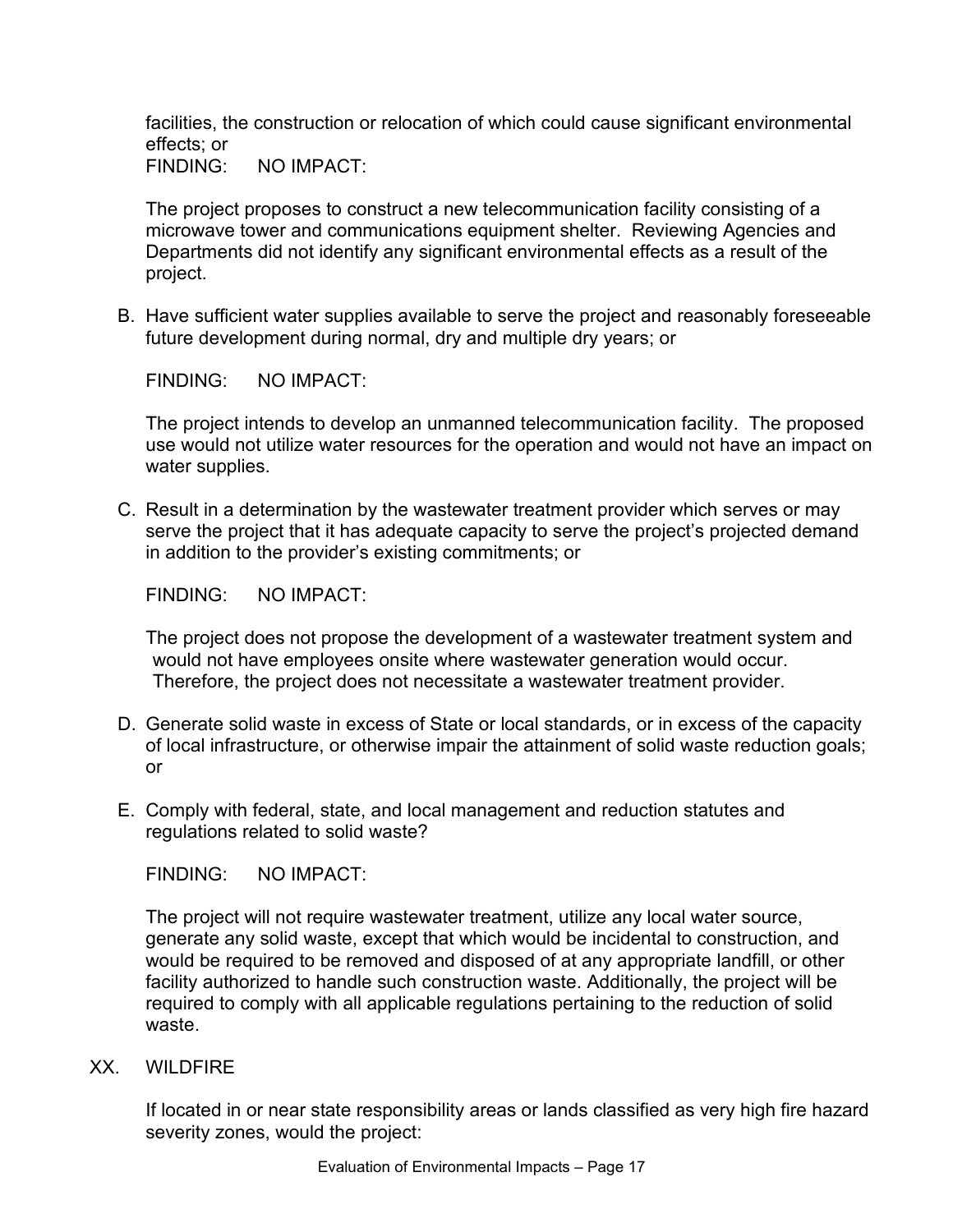facilities, the construction or relocation of which could cause significant environmental effects; or

FINDING: NO IMPACT:

The project proposes to construct a new telecommunication facility consisting of a microwave tower and communications equipment shelter. Reviewing Agencies and Departments did not identify any significant environmental effects as a result of the project.

B. Have sufficient water supplies available to serve the project and reasonably foreseeable future development during normal, dry and multiple dry years; or

FINDING: NO IMPACT:

The project intends to develop an unmanned telecommunication facility. The proposed use would not utilize water resources for the operation and would not have an impact on water supplies.

C. Result in a determination by the wastewater treatment provider which serves or may serve the project that it has adequate capacity to serve the project's projected demand in addition to the provider's existing commitments; or

FINDING: NO IMPACT:

The project does not propose the development of a wastewater treatment system and would not have employees onsite where wastewater generation would occur. Therefore, the project does not necessitate a wastewater treatment provider.

- D. Generate solid waste in excess of State or local standards, or in excess of the capacity of local infrastructure, or otherwise impair the attainment of solid waste reduction goals; or
- E. Comply with federal, state, and local management and reduction statutes and regulations related to solid waste?

FINDING: NO IMPACT:

The project will not require wastewater treatment, utilize any local water source, generate any solid waste, except that which would be incidental to construction, and would be required to be removed and disposed of at any appropriate landfill, or other facility authorized to handle such construction waste. Additionally, the project will be required to comply with all applicable regulations pertaining to the reduction of solid waste.

XX. WILDFIRE

If located in or near state responsibility areas or lands classified as very high fire hazard severity zones, would the project: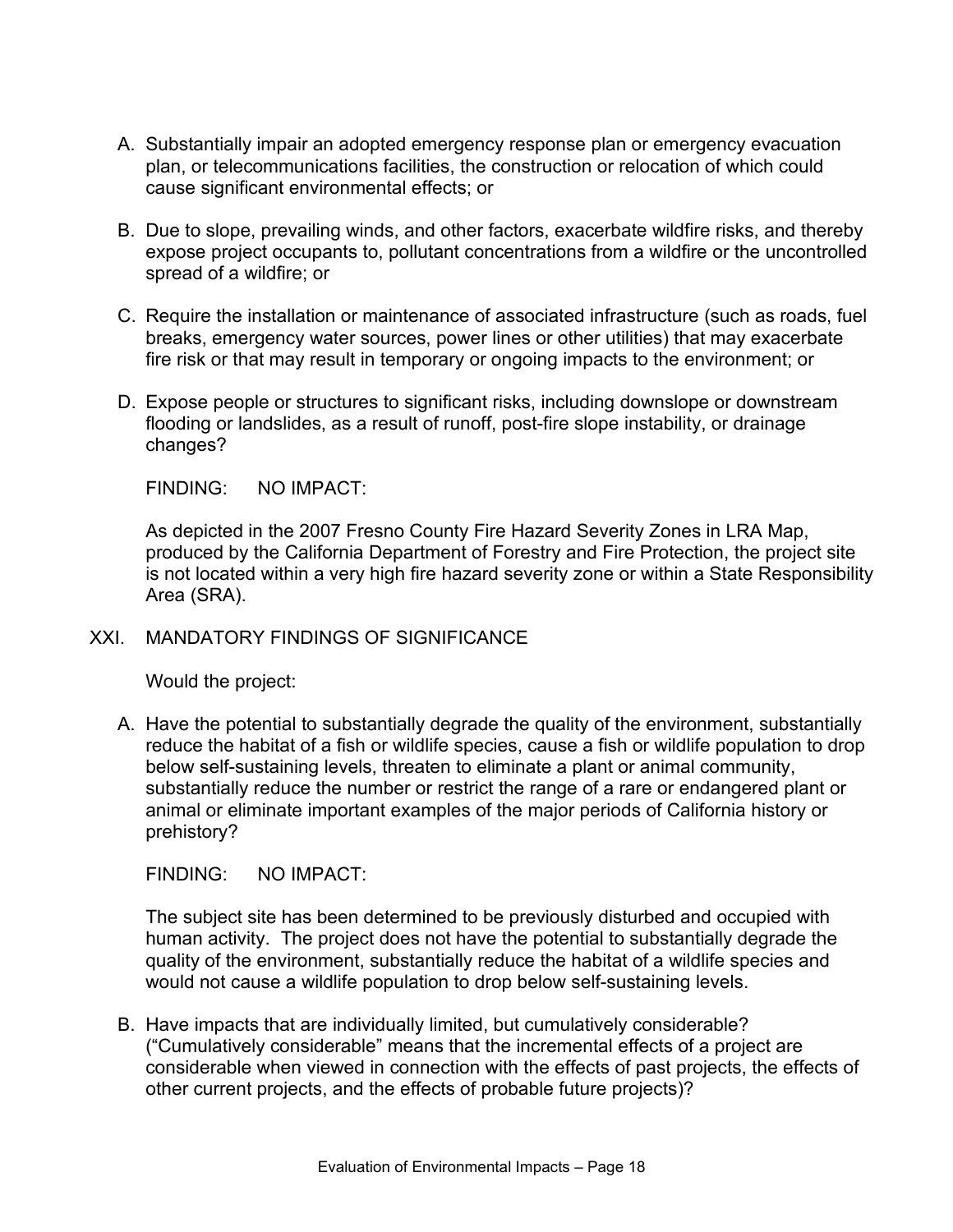- A. Substantially impair an adopted emergency response plan or emergency evacuation plan, or telecommunications facilities, the construction or relocation of which could cause significant environmental effects; or
- B. Due to slope, prevailing winds, and other factors, exacerbate wildfire risks, and thereby expose project occupants to, pollutant concentrations from a wildfire or the uncontrolled spread of a wildfire; or
- C. Require the installation or maintenance of associated infrastructure (such as roads, fuel breaks, emergency water sources, power lines or other utilities) that may exacerbate fire risk or that may result in temporary or ongoing impacts to the environment; or
- D. Expose people or structures to significant risks, including downslope or downstream flooding or landslides, as a result of runoff, post-fire slope instability, or drainage changes?

As depicted in the 2007 Fresno County Fire Hazard Severity Zones in LRA Map, produced by the California Department of Forestry and Fire Protection, the project site is not located within a very high fire hazard severity zone or within a State Responsibility Area (SRA).

# XXI. MANDATORY FINDINGS OF SIGNIFICANCE

Would the project:

A. Have the potential to substantially degrade the quality of the environment, substantially reduce the habitat of a fish or wildlife species, cause a fish or wildlife population to drop below self-sustaining levels, threaten to eliminate a plant or animal community, substantially reduce the number or restrict the range of a rare or endangered plant or animal or eliminate important examples of the major periods of California history or prehistory?

FINDING: NO IMPACT:

The subject site has been determined to be previously disturbed and occupied with human activity. The project does not have the potential to substantially degrade the quality of the environment, substantially reduce the habitat of a wildlife species and would not cause a wildlife population to drop below self-sustaining levels.

B. Have impacts that are individually limited, but cumulatively considerable? ("Cumulatively considerable" means that the incremental effects of a project are considerable when viewed in connection with the effects of past projects, the effects of other current projects, and the effects of probable future projects)?